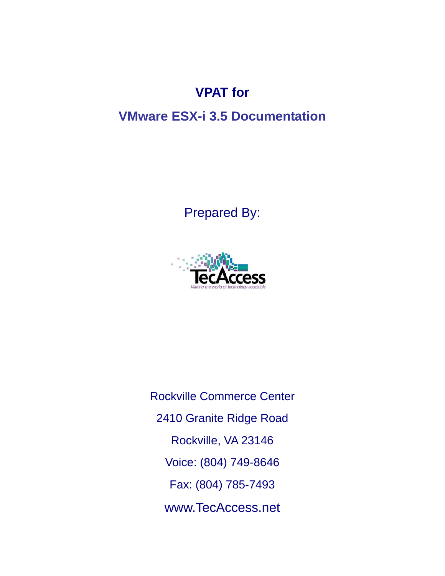# **VPAT for**

# **VMware ESX-i 3.5 Documentation**

Prepared By:



Rockville Commerce Center 2410 Granite Ridge Road Rockville, VA 23146 Voice: (804) 749-8646 Fax: (804) 785-7493 www.TecAccess.net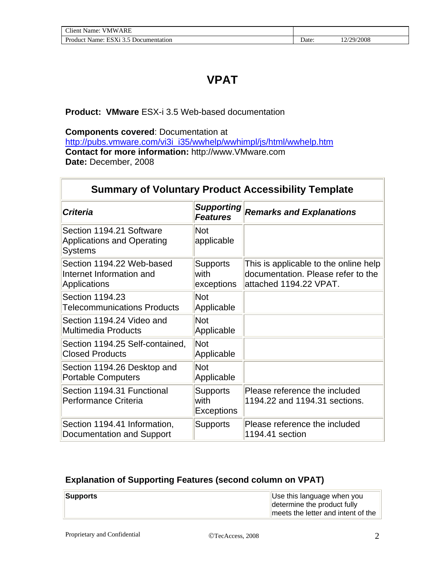# **VPAT**

#### **Product: VMware** ESX-i 3.5 Web-based documentation

**Components covered**: Documentation at [http://pubs.vmware.com/vi3i\\_i35/wwhelp/wwhimpl/js/html/wwhelp.htm](http://pubs.vmware.com/vi3i_i35/wwhelp/wwhimpl/js/html/wwhelp.htm) **Contact for more information:** http://www.VMware.com **Date:** December, 2008

| <b>Summary of Voluntary Product Accessibility Template</b>                      |                                              |                                                                                                       |  |  |
|---------------------------------------------------------------------------------|----------------------------------------------|-------------------------------------------------------------------------------------------------------|--|--|
| <b>Criteria</b>                                                                 | <b>Supporting</b><br><b>Features</b>         | <b>Remarks and Explanations</b>                                                                       |  |  |
| Section 1194.21 Software<br><b>Applications and Operating</b><br><b>Systems</b> | <b>Not</b><br>applicable                     |                                                                                                       |  |  |
| Section 1194.22 Web-based<br>Internet Information and<br>Applications           | <b>Supports</b><br>with<br>exceptions        | This is applicable to the online help<br>documentation. Please refer to the<br>attached 1194.22 VPAT. |  |  |
| Section 1194.23<br><b>Telecommunications Products</b>                           | <b>Not</b><br>Applicable                     |                                                                                                       |  |  |
| Section 1194.24 Video and<br><b>Multimedia Products</b>                         | <b>Not</b><br>Applicable                     |                                                                                                       |  |  |
| Section 1194.25 Self-contained,<br><b>Closed Products</b>                       | <b>Not</b><br>Applicable                     |                                                                                                       |  |  |
| Section 1194.26 Desktop and<br><b>Portable Computers</b>                        | <b>Not</b><br>Applicable                     |                                                                                                       |  |  |
| Section 1194.31 Functional<br>Performance Criteria                              | <b>Supports</b><br>with<br><b>Exceptions</b> | Please reference the included<br>1194.22 and 1194.31 sections.                                        |  |  |
| Section 1194.41 Information,<br>Documentation and Support                       | <b>Supports</b>                              | Please reference the included<br>1194.41 section                                                      |  |  |

#### **Explanation of Supporting Features (second column on VPAT)**

| Supports | Use this language when you         |
|----------|------------------------------------|
|          | determine the product fully        |
|          | meets the letter and intent of the |

Г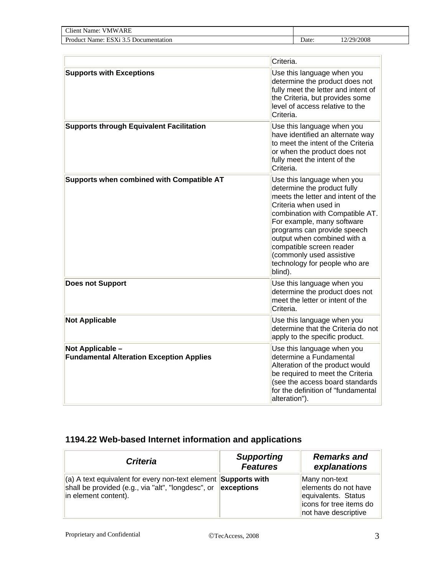| <b>CHI</b><br><b>VMWARE</b><br>:Tient-<br>Name:                    |      |            |
|--------------------------------------------------------------------|------|------------|
| Product.<br>ESX1<br>Name:<br>∩ Documentation<br>$\rightarrow$<br>ີ | Date | 12/29/2008 |

|                                                                     | Criteria.                                                                                                                                                                                                                                                                                                                                                   |
|---------------------------------------------------------------------|-------------------------------------------------------------------------------------------------------------------------------------------------------------------------------------------------------------------------------------------------------------------------------------------------------------------------------------------------------------|
| <b>Supports with Exceptions</b>                                     | Use this language when you<br>determine the product does not<br>fully meet the letter and intent of<br>the Criteria, but provides some<br>level of access relative to the<br>Criteria.                                                                                                                                                                      |
| <b>Supports through Equivalent Facilitation</b>                     | Use this language when you<br>have identified an alternate way<br>to meet the intent of the Criteria<br>or when the product does not<br>fully meet the intent of the<br>Criteria.                                                                                                                                                                           |
| Supports when combined with Compatible AT                           | Use this language when you<br>determine the product fully<br>meets the letter and intent of the<br>Criteria when used in<br>combination with Compatible AT.<br>For example, many software<br>programs can provide speech<br>output when combined with a<br>compatible screen reader<br>(commonly used assistive<br>technology for people who are<br>blind). |
| <b>Does not Support</b>                                             | Use this language when you<br>determine the product does not<br>meet the letter or intent of the<br>Criteria.                                                                                                                                                                                                                                               |
| <b>Not Applicable</b>                                               | Use this language when you<br>determine that the Criteria do not<br>apply to the specific product.                                                                                                                                                                                                                                                          |
| Not Applicable -<br><b>Fundamental Alteration Exception Applies</b> | Use this language when you<br>determine a Fundamental<br>Alteration of the product would<br>be required to meet the Criteria<br>(see the access board standards<br>for the definition of "fundamental<br>alteration").                                                                                                                                      |

### **1194.22 Web-based Internet information and applications**

| <b>Criteria</b>                                                                                                                                                                    | <b>Supporting</b><br><b>Features</b> | <b>Remarks and</b><br>explanations                                                                               |
|------------------------------------------------------------------------------------------------------------------------------------------------------------------------------------|--------------------------------------|------------------------------------------------------------------------------------------------------------------|
| $\vert$ (a) A text equivalent for every non-text element <b>Supports with</b><br>shall be provided (e.g., via "alt", "longdesc", or $\ $ <b>exceptions</b><br>in element content). |                                      | Many non-text<br>elements do not have<br>equivalents. Status<br>licons for tree items do<br>not have descriptive |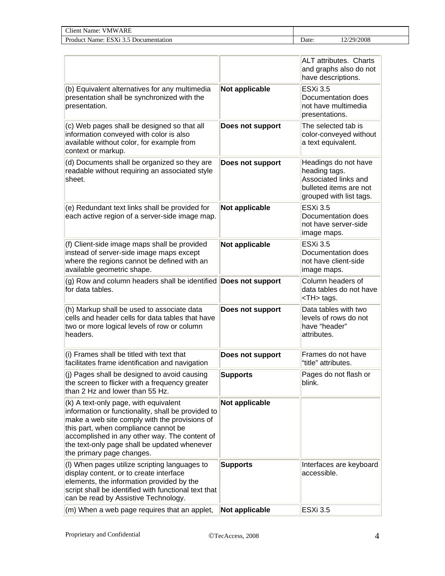| $\sim$<br>ARE<br>'NW<br>vame<br>'ieni<br>the contract of the contract of the<br>the contract of the contract of |      |             |
|-----------------------------------------------------------------------------------------------------------------|------|-------------|
| .<br>1tat10n<br>Name<br>. .                                                                                     | Jate | /2008<br>70 |

|                                                                                                                                                                                                                                                                                                                    |                  | <b>ALT</b> attributes. Charts<br>and graphs also do not<br>have descriptions.                                      |       |
|--------------------------------------------------------------------------------------------------------------------------------------------------------------------------------------------------------------------------------------------------------------------------------------------------------------------|------------------|--------------------------------------------------------------------------------------------------------------------|-------|
| (b) Equivalent alternatives for any multimedia<br>presentation shall be synchronized with the<br>presentation.                                                                                                                                                                                                     | Not applicable   | <b>ESXi 3.5</b><br>Documentation does<br>not have multimedia<br>presentations.                                     |       |
| (c) Web pages shall be designed so that all<br>information conveyed with color is also<br>available without color, for example from<br>context or markup.                                                                                                                                                          | Does not support | The selected tab is<br>color-conveyed without<br>a text equivalent.                                                |       |
| (d) Documents shall be organized so they are<br>readable without requiring an associated style<br>sheet.                                                                                                                                                                                                           | Does not support | Headings do not have<br>heading tags.<br>Associated links and<br>bulleted items are not<br>grouped with list tags. |       |
| (e) Redundant text links shall be provided for<br>each active region of a server-side image map.                                                                                                                                                                                                                   | Not applicable   | <b>ESXi 3.5</b><br>Documentation does<br>not have server-side<br>image maps.                                       |       |
| (f) Client-side image maps shall be provided<br>instead of server-side image maps except<br>where the regions cannot be defined with an<br>available geometric shape.                                                                                                                                              | Not applicable   | <b>ESXi 3.5</b><br>Documentation does<br>not have client-side<br>image maps.                                       |       |
| (g) Row and column headers shall be identified Does not support<br>for data tables.                                                                                                                                                                                                                                |                  | Column headers of<br>data tables do not have<br><th> tags.</th>                                                    | tags. |
| (h) Markup shall be used to associate data<br>cells and header cells for data tables that have<br>two or more logical levels of row or column<br>headers.                                                                                                                                                          | Does not support | Data tables with two<br>levels of rows do not<br>have "header"<br>attributes.                                      |       |
| (i) Frames shall be titled with text that<br>facilitates frame identification and navigation                                                                                                                                                                                                                       | Does not support | Frames do not have<br>"title" attributes.                                                                          |       |
| (j) Pages shall be designed to avoid causing<br>the screen to flicker with a frequency greater<br>than 2 Hz and lower than 55 Hz.                                                                                                                                                                                  | <b>Supports</b>  | Pages do not flash or<br>blink.                                                                                    |       |
| (k) A text-only page, with equivalent<br>information or functionality, shall be provided to<br>make a web site comply with the provisions of<br>this part, when compliance cannot be<br>accomplished in any other way. The content of<br>the text-only page shall be updated whenever<br>the primary page changes. | Not applicable   |                                                                                                                    |       |
| (I) When pages utilize scripting languages to<br>display content, or to create interface<br>elements, the information provided by the<br>script shall be identified with functional text that<br>can be read by Assistive Technology.                                                                              | <b>Supports</b>  | Interfaces are keyboard<br>accessible.                                                                             |       |
| (m) When a web page requires that an applet,                                                                                                                                                                                                                                                                       | Not applicable   | <b>ESXi 3.5</b>                                                                                                    |       |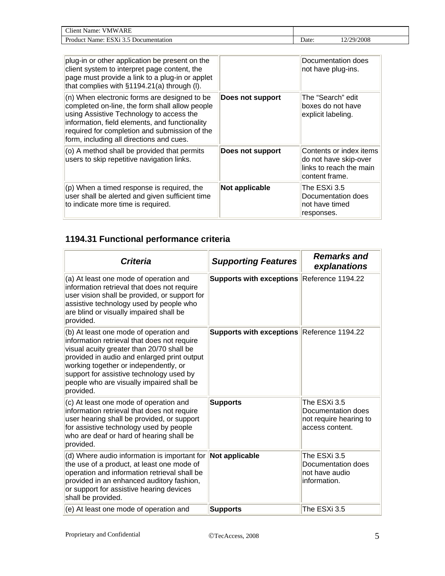| <b>CHI</b><br>ARF<br>' MW<br>'Itent<br>Name:               |       |         |
|------------------------------------------------------------|-------|---------|
| $\mathbf{r}$<br>ES<br>Proc<br>Name<br>Documentation<br>net | Date: | 29/2008 |

| plug-in or other application be present on the<br>client system to interpret page content, the<br>page must provide a link to a plug-in or applet<br>that complies with §1194.21(a) through (I).                                                                                          |                  | Documentation does<br>not have plug-ins.                                                      |
|-------------------------------------------------------------------------------------------------------------------------------------------------------------------------------------------------------------------------------------------------------------------------------------------|------------------|-----------------------------------------------------------------------------------------------|
| (n) When electronic forms are designed to be<br>completed on-line, the form shall allow people<br>using Assistive Technology to access the<br>information, field elements, and functionality<br>required for completion and submission of the<br>form, including all directions and cues. | Does not support | The "Search" edit<br>boxes do not have<br>explicit labeling.                                  |
| (o) A method shall be provided that permits<br>users to skip repetitive navigation links.                                                                                                                                                                                                 | Does not support | Contents or index items<br>do not have skip-over<br>links to reach the main<br>content frame. |
| $(p)$ When a timed response is required, the<br>user shall be alerted and given sufficient time<br>to indicate more time is required.                                                                                                                                                     | Not applicable   | The ESXi 3.5<br>Documentation does<br>not have timed<br>responses.                            |

### **1194.31 Functional performance criteria**

| <b>Criteria</b>                                                                                                                                                                                                                                                                                                                  | <b>Supporting Features</b>                 | <b>Remarks and</b><br>explanations                                              |
|----------------------------------------------------------------------------------------------------------------------------------------------------------------------------------------------------------------------------------------------------------------------------------------------------------------------------------|--------------------------------------------|---------------------------------------------------------------------------------|
| (a) At least one mode of operation and<br>information retrieval that does not require<br>user vision shall be provided, or support for<br>assistive technology used by people who<br>are blind or visually impaired shall be<br>provided.                                                                                        | Supports with exceptions Reference 1194.22 |                                                                                 |
| (b) At least one mode of operation and<br>information retrieval that does not require<br>visual acuity greater than 20/70 shall be<br>provided in audio and enlarged print output<br>working together or independently, or<br>support for assistive technology used by<br>people who are visually impaired shall be<br>provided. | Supports with exceptions Reference 1194.22 |                                                                                 |
| (c) At least one mode of operation and<br>information retrieval that does not require<br>user hearing shall be provided, or support<br>for assistive technology used by people<br>who are deaf or hard of hearing shall be<br>provided.                                                                                          | <b>Supports</b>                            | The ESXi 3.5<br>Documentation does<br>not require hearing to<br>access content. |
| (d) Where audio information is important for<br>the use of a product, at least one mode of<br>operation and information retrieval shall be<br>provided in an enhanced auditory fashion,<br>or support for assistive hearing devices<br>shall be provided.                                                                        | Not applicable                             | The ESXi 3.5<br>Documentation does<br>not have audio<br>information.            |
| (e) At least one mode of operation and                                                                                                                                                                                                                                                                                           | <b>Supports</b>                            | The ESXi 3.5                                                                    |